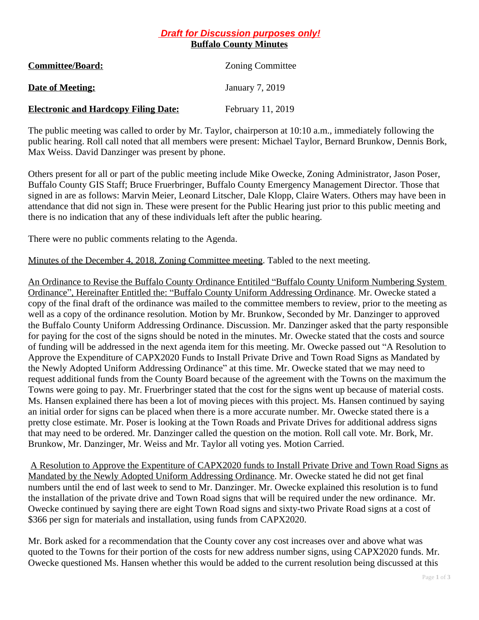## *Draft for Discussion purposes only!* **Buffalo County Minutes**

| <b>Committee/Board:</b>                     | <b>Zoning Committee</b> |
|---------------------------------------------|-------------------------|
| <b>Date of Meeting:</b>                     | January 7, 2019         |
| <b>Electronic and Hardcopy Filing Date:</b> | February 11, 2019       |

The public meeting was called to order by Mr. Taylor, chairperson at 10:10 a.m., immediately following the public hearing. Roll call noted that all members were present: Michael Taylor, Bernard Brunkow, Dennis Bork, Max Weiss. David Danzinger was present by phone.

Others present for all or part of the public meeting include Mike Owecke, Zoning Administrator, Jason Poser, Buffalo County GIS Staff; Bruce Fruerbringer, Buffalo County Emergency Management Director. Those that signed in are as follows: Marvin Meier, Leonard Litscher, Dale Klopp, Claire Waters. Others may have been in attendance that did not sign in. These were present for the Public Hearing just prior to this public meeting and there is no indication that any of these individuals left after the public hearing.

There were no public comments relating to the Agenda.

Minutes of the December 4, 2018, Zoning Committee meeting. Tabled to the next meeting.

An Ordinance to Revise the Buffalo County Ordinance Entitiled "Buffalo County Uniform Numbering System Ordinance", Hereinafter Entitled the: "Buffalo County Uniform Addressing Ordinance. Mr. Owecke stated a copy of the final draft of the ordinance was mailed to the committee members to review, prior to the meeting as well as a copy of the ordinance resolution. Motion by Mr. Brunkow, Seconded by Mr. Danzinger to approved the Buffalo County Uniform Addressing Ordinance. Discussion. Mr. Danzinger asked that the party responsible for paying for the cost of the signs should be noted in the minutes. Mr. Owecke stated that the costs and source of funding will be addressed in the next agenda item for this meeting. Mr. Owecke passed out "A Resolution to Approve the Expenditure of CAPX2020 Funds to Install Private Drive and Town Road Signs as Mandated by the Newly Adopted Uniform Addressing Ordinance" at this time. Mr. Owecke stated that we may need to request additional funds from the County Board because of the agreement with the Towns on the maximum the Towns were going to pay. Mr. Fruerbringer stated that the cost for the signs went up because of material costs. Ms. Hansen explained there has been a lot of moving pieces with this project. Ms. Hansen continued by saying an initial order for signs can be placed when there is a more accurate number. Mr. Owecke stated there is a pretty close estimate. Mr. Poser is looking at the Town Roads and Private Drives for additional address signs that may need to be ordered. Mr. Danzinger called the question on the motion. Roll call vote. Mr. Bork, Mr. Brunkow, Mr. Danzinger, Mr. Weiss and Mr. Taylor all voting yes. Motion Carried.

A Resolution to Approve the Expentiture of CAPX2020 funds to Install Private Drive and Town Road Signs as Mandated by the Newly Adopted Uniform Addressing Ordinance. Mr. Owecke stated he did not get final numbers until the end of last week to send to Mr. Danzinger. Mr. Owecke explained this resolution is to fund the installation of the private drive and Town Road signs that will be required under the new ordinance. Mr. Owecke continued by saying there are eight Town Road signs and sixty-two Private Road signs at a cost of \$366 per sign for materials and installation, using funds from CAPX2020.

Mr. Bork asked for a recommendation that the County cover any cost increases over and above what was quoted to the Towns for their portion of the costs for new address number signs, using CAPX2020 funds. Mr. Owecke questioned Ms. Hansen whether this would be added to the current resolution being discussed at this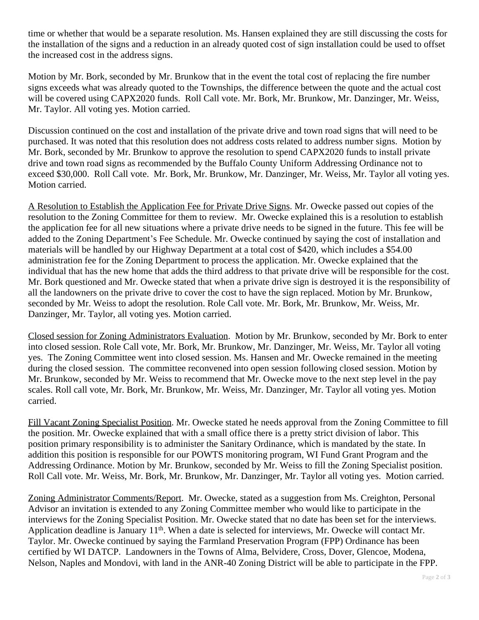time or whether that would be a separate resolution. Ms. Hansen explained they are still discussing the costs for the installation of the signs and a reduction in an already quoted cost of sign installation could be used to offset the increased cost in the address signs.

Motion by Mr. Bork, seconded by Mr. Brunkow that in the event the total cost of replacing the fire number signs exceeds what was already quoted to the Townships, the difference between the quote and the actual cost will be covered using CAPX2020 funds. Roll Call vote. Mr. Bork, Mr. Brunkow, Mr. Danzinger, Mr. Weiss, Mr. Taylor. All voting yes. Motion carried.

Discussion continued on the cost and installation of the private drive and town road signs that will need to be purchased. It was noted that this resolution does not address costs related to address number signs. Motion by Mr. Bork, seconded by Mr. Brunkow to approve the resolution to spend CAPX2020 funds to install private drive and town road signs as recommended by the Buffalo County Uniform Addressing Ordinance not to exceed \$30,000. Roll Call vote. Mr. Bork, Mr. Brunkow, Mr. Danzinger, Mr. Weiss, Mr. Taylor all voting yes. Motion carried.

A Resolution to Establish the Application Fee for Private Drive Signs. Mr. Owecke passed out copies of the resolution to the Zoning Committee for them to review. Mr. Owecke explained this is a resolution to establish the application fee for all new situations where a private drive needs to be signed in the future. This fee will be added to the Zoning Department's Fee Schedule. Mr. Owecke continued by saying the cost of installation and materials will be handled by our Highway Department at a total cost of \$420, which includes a \$54.00 administration fee for the Zoning Department to process the application. Mr. Owecke explained that the individual that has the new home that adds the third address to that private drive will be responsible for the cost. Mr. Bork questioned and Mr. Owecke stated that when a private drive sign is destroyed it is the responsibility of all the landowners on the private drive to cover the cost to have the sign replaced. Motion by Mr. Brunkow, seconded by Mr. Weiss to adopt the resolution. Role Call vote. Mr. Bork, Mr. Brunkow, Mr. Weiss, Mr. Danzinger, Mr. Taylor, all voting yes. Motion carried.

Closed session for Zoning Administrators Evaluation. Motion by Mr. Brunkow, seconded by Mr. Bork to enter into closed session. Role Call vote, Mr. Bork, Mr. Brunkow, Mr. Danzinger, Mr. Weiss, Mr. Taylor all voting yes. The Zoning Committee went into closed session. Ms. Hansen and Mr. Owecke remained in the meeting during the closed session. The committee reconvened into open session following closed session. Motion by Mr. Brunkow, seconded by Mr. Weiss to recommend that Mr. Owecke move to the next step level in the pay scales. Roll call vote, Mr. Bork, Mr. Brunkow, Mr. Weiss, Mr. Danzinger, Mr. Taylor all voting yes. Motion carried.

Fill Vacant Zoning Specialist Position. Mr. Owecke stated he needs approval from the Zoning Committee to fill the position. Mr. Owecke explained that with a small office there is a pretty strict division of labor. This position primary responsibility is to administer the Sanitary Ordinance, which is mandated by the state. In addition this position is responsible for our POWTS monitoring program, WI Fund Grant Program and the Addressing Ordinance. Motion by Mr. Brunkow, seconded by Mr. Weiss to fill the Zoning Specialist position. Roll Call vote. Mr. Weiss, Mr. Bork, Mr. Brunkow, Mr. Danzinger, Mr. Taylor all voting yes. Motion carried.

Zoning Administrator Comments/Report. Mr. Owecke, stated as a suggestion from Ms. Creighton, Personal Advisor an invitation is extended to any Zoning Committee member who would like to participate in the interviews for the Zoning Specialist Position. Mr. Owecke stated that no date has been set for the interviews. Application deadline is January 11th. When a date is selected for interviews, Mr. Owecke will contact Mr. Taylor. Mr. Owecke continued by saying the Farmland Preservation Program (FPP) Ordinance has been certified by WI DATCP. Landowners in the Towns of Alma, Belvidere, Cross, Dover, Glencoe, Modena, Nelson, Naples and Mondovi, with land in the ANR-40 Zoning District will be able to participate in the FPP.